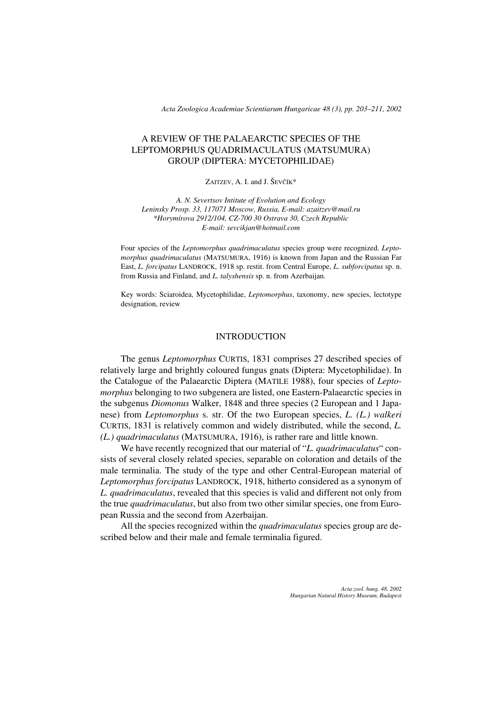*Acta Zoologica Academiae Scientiarum Hungaricae 48 (3), pp. 203–211, 2002*

# A REVIEW OF THE PALAEARCTIC SPECIES OF THE LEPTOMORPHUS QUADRIMACULATUS (MATSUMURA) GROUP (DIPTERA: MYCETOPHILIDAE)

#### ZAITZEV, A. I. and J. ŠEVČÍK\*

*A. N. Severtsov Intitute of Evolution and Ecology Leninsky Prosp. 33, 117071 Moscow, Russia, E-mail: azaitzev@mail.ru \*Horymírova 2912/104, CZ-700 30 Ostrava 30, Czech Republic E-mail: sevcikjan@hotmail.com*

Four species of the *Leptomorphus quadrimaculatus* species group were recognized. *Leptomorphus quadrimaculatus* (MATSUMURA, 1916) is known from Japan and the Russian Far East, *L. forcipatus* LANDROCK, 1918 sp. restit. from Central Europe, *L. subforcipatus* sp. n. from Russia and Finland, and *L. talyshensis* sp. n. from Azerbaijan.

Key words: Sciaroidea, Mycetophilidae, *Leptomorphus*, taxonomy, new species, lectotype designation, review

## INTRODUCTION

The genus *Leptomorphus* CURTIS, 1831 comprises 27 described species of relatively large and brightly coloured fungus gnats (Diptera: Mycetophilidae). In the Catalogue of the Palaearctic Diptera (MATILE 1988), four species of *Leptomorphus* belonging to two subgenera are listed, one Eastern-Palaearctic species in the subgenus *Diomonus* Walker, 1848 and three species (2 European and 1 Japanese) from *Leptomorphus* s. str. Of the two European species, *L. (L.) walkeri* CURTIS, 1831 is relatively common and widely distributed, while the second, *L. (L.) quadrimaculatus* (MATSUMURA, 1916), is rather rare and little known.

We have recently recognized that our material of "*L. quadrimaculatus*" consists of several closely related species, separable on coloration and details of the male terminalia. The study of the type and other Central-European material of *Leptomorphus forcipatus* LANDROCK, 1918, hitherto considered as a synonym of *L. quadrimaculatus*, revealed that this species is valid and different not only from the true *quadrimaculatus*, but also from two other similar species, one from European Russia and the second from Azerbaijan.

All the species recognized within the *quadrimaculatus* species group are described below and their male and female terminalia figured.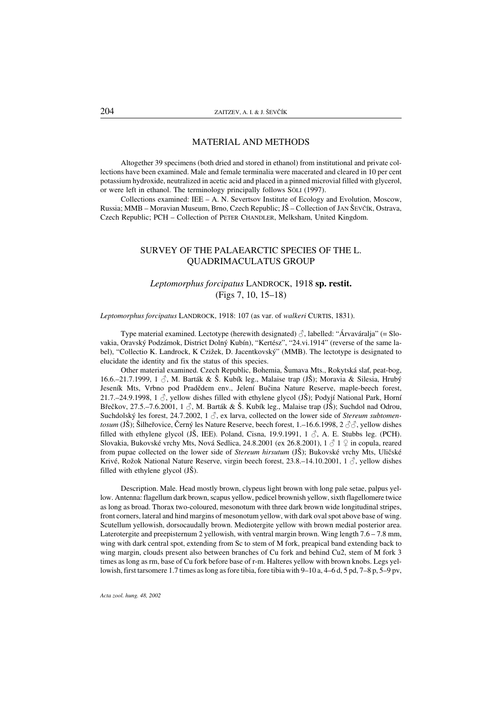## MATERIAL AND METHODS

Altogether 39 specimens (both dried and stored in ethanol) from institutional and private collections have been examined. Male and female terminalia were macerated and cleared in 10 per cent potassium hydroxide, neutralized in acetic acid and placed in a pinned microvial filled with glycerol, or were left in ethanol. The terminology principally follows SÖLI (1997).

Collections examined: IEE – A. N. Severtsov Institute of Ecology and Evolution, Moscow, Russia; MMB – Moravian Museum, Brno, Czech Republic; JŠ– Collection of JAN ŠEVČÍK, Ostrava, Czech Republic; PCH – Collection of PETER CHANDLER, Melksham, United Kingdom.

## SURVEY OF THE PALAEARCTIC SPECIES OF THE L. QUADRIMACULATUS GROUP

# *Leptomorphus forcipatus* LANDROCK, 1918 sp. restit. (Figs 7, 10, 15–18)

#### *Leptomorphus forcipatus* LANDROCK, 1918: 107 (as var. of *walkeri* CURTIS, 1831).

Type material examined. Lectotype (herewith designated)  $\partial$ , labelled: "Árvaváralja" (= Slovakia, Oravský Podzámok, District Dolný Kubín), "Kertész", "24.vi.1914" (reverse of the same label), "Collectio K. Landrock, K Czižek, D. Jacentkovský" (MMB). The lectotype is designated to elucidate the identity and fix the status of this species.

Other material examined. Czech Republic, Bohemia, Šumava Mts., Rokytská slať, peat-bog, 16.6.–21.7.1999, 1  $\Im$ , M. Barták & Š. Kubík leg., Malaise trap (JŠ); Moravia & Silesia, Hrubý Jeseník Mts, Vrbno pod Pradědem env., Jelení Bučina Nature Reserve, maple-beech forest, 21.7.–24.9.1998, 1  $\circ$ , yellow dishes filled with ethylene glycol (JŠ); Podyjí National Park, Horní Břečkov, 27.5.–7.6.2001, 1 $\beta$ , M. Barták & Š. Kubík leg., Malaise trap (JŠ); Suchdol nad Odrou, Suchdolský les forest, 24.7.2002, 1  $\beta$ , ex larva, collected on the lower side of *Stereum subtomentosum* (JŠ); Šilheřovice, Černý les Nature Reserve, beech forest, 1.–16.6.1998, 2  $\Im$ , yellow dishes filled with ethylene glycol (JŠ, IEE). Poland, Cisna, 19.9.1991, 1  $\delta$ , A. E. Stubbs leg. (PCH). Slovakia, Bukovské vrchy Mts, Nová Sedlica, 24.8.2001 (ex 26.8.2001),  $1 \nless 1 \nless 1$  in copula, reared from pupae collected on the lower side of *Stereum hirsutum* (JŠ); Bukovské vrchy Mts, Uličské Krivé, Rožok National Nature Reserve, virgin beech forest, 23.8.–14.10.2001, 1  $\beta$ , yellow dishes filled with ethylene glycol (JŠ).

Description. Male. Head mostly brown, clypeus light brown with long pale setae, palpus yellow. Antenna: flagellum dark brown, scapus yellow, pedicel brownish yellow, sixth flagellomere twice as long as broad. Thorax two-coloured, mesonotum with three dark brown wide longitudinal stripes, front corners, lateral and hind margins of mesonotum yellow, with dark oval spot above base of wing. Scutellum yellowish, dorsocaudally brown. Mediotergite yellow with brown medial posterior area. Laterotergite and preepisternum 2 yellowish, with ventral margin brown. Wing length 7.6 – 7.8 mm, wing with dark central spot, extending from Sc to stem of M fork, preapical band extending back to wing margin, clouds present also between branches of Cu fork and behind Cu2, stem of M fork 3 times as long as rm, base of Cu fork before base of r-m. Halteres yellow with brown knobs. Legs yellowish, first tarsomere 1.7 times as long as fore tibia, fore tibia with 9–10 a, 4–6 d, 5 pd, 7–8 p, 5–9 pv,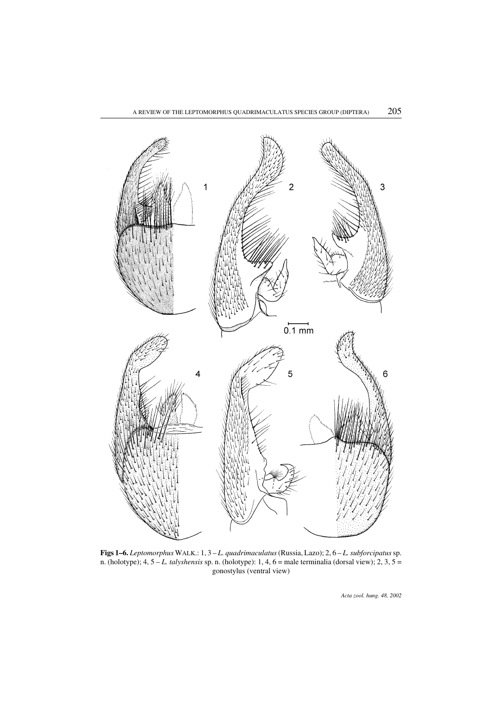

Figs 1–6. *Leptomorphus* WALK.: 1, 3 – *L. quadrimaculatus*(Russia, Lazo); 2, 6 – *L. subforcipatus*sp. n. (holotype); 4, 5 – *L. talyshensis* sp. n. (holotype): 1, 4, 6 = male terminalia (dorsal view); 2, 3, 5 = gonostylus (ventral view)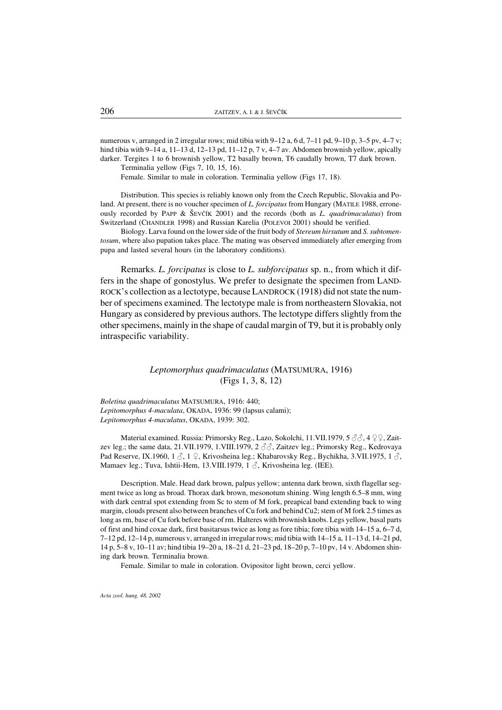numerous v, arranged in 2 irregular rows; mid tibia with 9–12 a, 6 d, 7–11 pd, 9–10 p, 3–5 pv, 4–7 v; hind tibia with 9–14 a, 11–13 d, 12–13 pd, 11–12 p, 7 v, 4–7 av. Abdomen brownish yellow, apically darker. Tergites 1 to 6 brownish yellow, T2 basally brown, T6 caudally brown, T7 dark brown. Terminalia yellow (Figs 7, 10, 15, 16).

Female. Similar to male in coloration. Terminalia yellow (Figs 17, 18).

Distribution. This species is reliably known only from the Czech Republic, Slovakia and Poland. At present, there is no voucher specimen of *L. forcipatus* from Hungary (MATILE 1988, erroneously recorded by PAPP & ŠEVČÍK 2001) and the records (both as *L. quadrimaculatus*) from Switzerland (CHANDLER 1998) and Russian Karelia (POLEVOI 2001) should be verified.

Biology. Larva found on the lower side of the fruit body of *Stereum hirsutum* and *S. subtomentosum*, where also pupation takes place. The mating was observed immediately after emerging from pupa and lasted several hours (in the laboratory conditions).

Remarks. *L. forcipatus* is close to *L. subforcipatus* sp. n., from which it differs in the shape of gonostylus. We prefer to designate the specimen from LAND-ROCK's collection as a lectotype, because LANDROCK (1918) did not state the number of specimens examined. The lectotype male is from northeastern Slovakia, not Hungary as considered by previous authors. The lectotype differs slightly from the other specimens, mainly in the shape of caudal margin of T9, but it is probably only intraspecific variability.

> *Leptomorphus quadrimaculatus* (MATSUMURA, 1916) (Figs 1, 3, 8, 12)

*Boletina quadrimaculatus* MATSUMURA, 1916: 440; *Lepitomorphus 4-maculata*, OKADA, 1936: 99 (lapsus calami); *Lepitomorphus 4-maculatus*, OKADA, 1939: 302.

Material examined. Russia: Primorsky Reg., Lazo, Sokolchi, 11.VII.1979, 5  $\Im$   $\Im$ , 4  $\Im$   $\Im$ , Zaitzev leg.; the same data, 21.VII.1979, 1.VIII.1979, 2  $\Im$ , Zaitzev leg.; Primorsky Reg., Kedrovaya Pad Reserve, IX.1960, 1  $\circ$ , 1  $\circ$ , Krivosheina leg.; Khabarovsky Reg., Bychikha, 3.VII.1975, 1  $\circ$ , Mamaev leg.; Tuva, Ishtii-Hem, 13.VIII.1979, 1  $\beta$ , Krivosheina leg. (IEE).

Description. Male. Head dark brown, palpus yellow; antenna dark brown, sixth flagellar segment twice as long as broad. Thorax dark brown, mesonotum shining. Wing length 6.5–8 mm, wing with dark central spot extending from Sc to stem of M fork, preapical band extending back to wing margin, clouds present also between branches of Cu fork and behind Cu2; stem of M fork 2.5 times as long as rm, base of Cu fork before base of rm. Halteres with brownish knobs. Legs yellow, basal parts of first and hind coxae dark, first basitarsus twice as long as fore tibia; fore tibia with 14–15 a, 6–7 d, 7–12 pd, 12–14 p, numerous v, arranged in irregular rows; mid tibia with 14–15 a, 11–13 d, 14–21 pd, 14 p, 5–8 v, 10–11 av; hind tibia 19–20 a, 18–21 d, 21–23 pd, 18–20 p, 7–10 pv, 14 v. Abdomen shining dark brown. Terminalia brown.

Female. Similar to male in coloration. Ovipositor light brown, cerci yellow.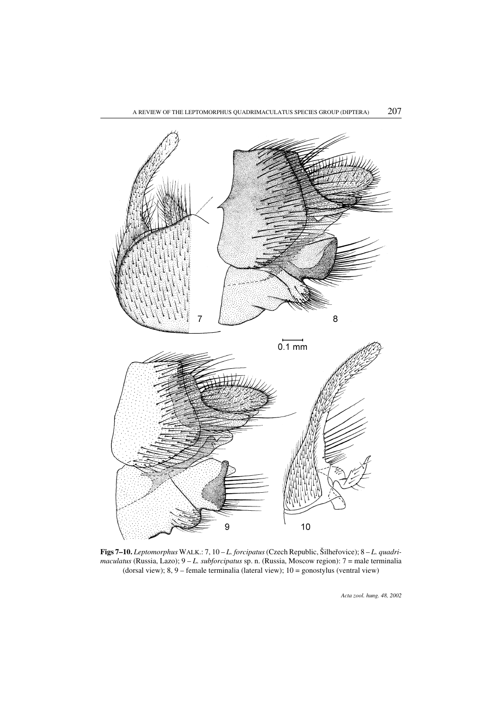

Figs 7–10. *Leptomorphus* WALK.: 7, 10 – *L. forcipatus* (Czech Republic, Šilheřovice); 8 – *L. quadrimaculatus* (Russia, Lazo); 9 – *L. subforcipatus* sp. n. (Russia, Moscow region): 7 = male terminalia (dorsal view); 8, 9 – female terminalia (lateral view); 10 = gonostylus (ventral view)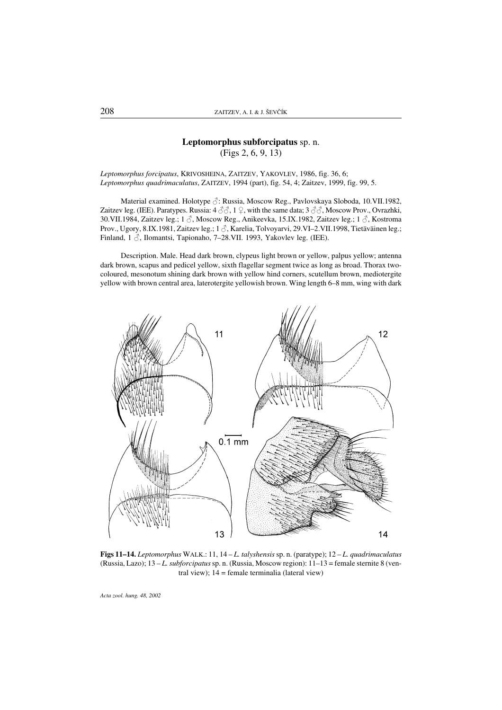# Leptomorphus subforcipatus sp. n. (Figs 2, 6, 9, 13)

*Leptomorphus forcipatus*, KRIVOSHEINA, ZAITZEV, YAKOVLEV, 1986, fig. 36, 6; *Leptomorphus quadrimaculatus*, ZAITZEV, 1994 (part), fig. 54, 4; Zaitzev, 1999, fig. 99, 5.

Material examined. Holotype  $\Diamond$ : Russia, Moscow Reg., Pavlovskaya Sloboda, 10.VII.1982, Zaitzev leg. (IEE). Paratypes. Russia:  $4 \text{ }\mathcal{J} \mathcal{J}$ , 1  $\varphi$ , with the same data;  $3 \text{ }\mathcal{J} \mathcal{J}$ , Moscow Prov., Ovrazhki, 30.VII.1984, Zaitzev leg.; 1  $\Diamond$ , Moscow Reg., Anikeevka, 15.IX.1982, Zaitzev leg.; 1  $\Diamond$ , Kostroma Prov., Ugory, 8.IX.1981, Zaitzev leg.; 1  $\Diamond$ , Karelia, Tolvoyarvi, 29.VI–2.VII.1998, Tietäväinen leg.; Finland,  $1 \delta$ , Ilomantsi, Tapionaho, 7–28.VII. 1993, Yakovlev leg. (IEE).

Description. Male. Head dark brown, clypeus light brown or yellow, palpus yellow; antenna dark brown, scapus and pedicel yellow, sixth flagellar segment twice as long as broad. Thorax twocoloured, mesonotum shining dark brown with yellow hind corners, scutellum brown, mediotergite yellow with brown central area, laterotergite yellowish brown. Wing length 6–8 mm, wing with dark



Figs 11–14. *Leptomorphus* WALK.: 11, 14 – *L. talyshensis*sp. n. (paratype); 12 – *L. quadrimaculatus* (Russia, Lazo); 13 – *L. subforcipatus*sp. n. (Russia, Moscow region): 11–13 = female sternite 8 (ventral view);  $14$  = female terminalia (lateral view)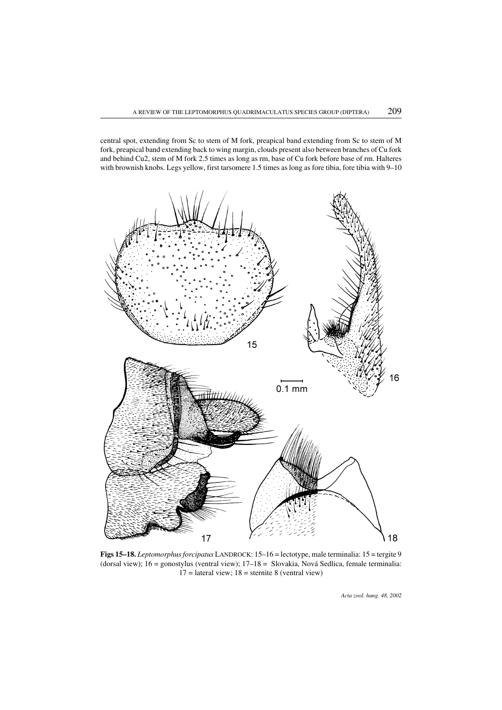15 16  $0.1 \text{ mm}$  $17$ 18

central spot, extending from Sc to stem of M fork, preapical band extending from Sc to stem of M fork, preapical band extending back to wing margin, clouds present also between branches of Cu fork and behind Cu2, stem of M fork 2.5 times as long as rm, base of Cu fork before base of rm. Halteres with brownish knobs. Legs yellow, first tarsomere 1.5 times as long as fore tibia, fore tibia with 9–10

Figs 15–18. *Leptomorphus forcipatus* LANDROCK: 15–16 = lectotype, male terminalia: 15 = tergite 9 (dorsal view); 16 = gonostylus (ventral view); 17–18 = Slovakia, Nová Sedlica, female terminalia:  $17 =$  lateral view;  $18 =$  sternite 8 (ventral view)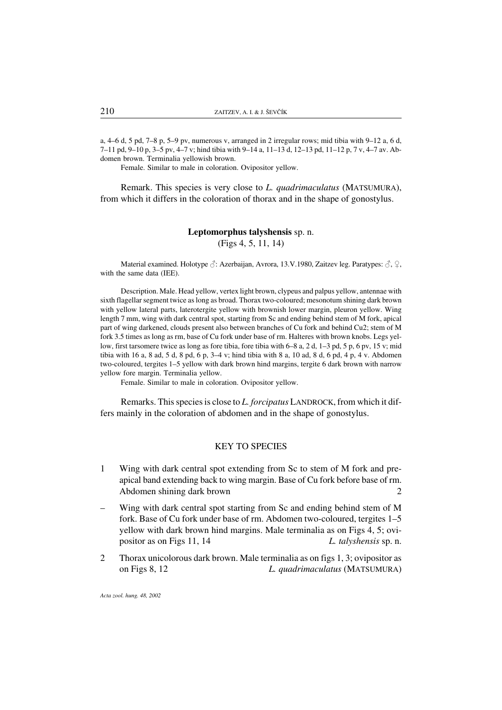a, 4–6 d, 5 pd, 7–8 p, 5–9 pv, numerous v, arranged in 2 irregular rows; mid tibia with 9–12 a, 6 d, 7–11 pd, 9–10 p, 3–5 pv, 4–7 v; hind tibia with 9–14 a, 11–13 d, 12–13 pd, 11–12 p, 7 v, 4–7 av. Abdomen brown. Terminalia yellowish brown.

Female. Similar to male in coloration. Ovipositor yellow.

Remark. This species is very close to *L. quadrimaculatus* (MATSUMURA), from which it differs in the coloration of thorax and in the shape of gonostylus.

## Leptomorphus talyshensis sp. n. (Figs 4, 5, 11, 14)

Material examined. Holotype  $\hat{\beta}$ : Azerbaijan, Avrora, 13.V.1980, Zaitzev leg. Paratypes:  $\hat{\beta}$ ,  $\hat{\beta}$ , with the same data (IEE).

Description. Male. Head yellow, vertex light brown, clypeus and palpus yellow, antennae with sixth flagellar segment twice as long as broad. Thorax two-coloured; mesonotum shining dark brown with yellow lateral parts, laterotergite yellow with brownish lower margin, pleuron yellow. Wing length 7 mm, wing with dark central spot, starting from Sc and ending behind stem of M fork, apical part of wing darkened, clouds present also between branches of Cu fork and behind Cu2; stem of M fork 3.5 times as long as rm, base of Cu fork under base of rm. Halteres with brown knobs. Legs yellow, first tarsomere twice as long as fore tibia, fore tibia with 6–8 a, 2 d, 1–3 pd, 5 p, 6 pv, 15 v; mid tibia with 16 a, 8 ad, 5 d, 8 pd, 6 p, 3–4 v; hind tibia with 8 a, 10 ad, 8 d, 6 pd, 4 p, 4 v. Abdomen two-coloured, tergites 1–5 yellow with dark brown hind margins, tergite 6 dark brown with narrow yellow fore margin. Terminalia yellow.

Female. Similar to male in coloration. Ovipositor yellow.

Remarks. This species is close to *L. forcipatus* LANDROCK, from which it differs mainly in the coloration of abdomen and in the shape of gonostylus.

### KEY TO SPECIES

- 1 Wing with dark central spot extending from Sc to stem of M fork and preapical band extending back to wing margin. Base of Cu fork before base of rm. Abdomen shining dark brown 2
- Wing with dark central spot starting from Sc and ending behind stem of M fork. Base of Cu fork under base of rm. Abdomen two-coloured, tergites 1–5 yellow with dark brown hind margins. Male terminalia as on Figs 4, 5; ovipositor as on Figs 11, 14 *L. talyshensis* sp. n.
- 2 Thorax unicolorous dark brown. Male terminalia as on figs 1, 3; ovipositor as on Figs 8, 12 *L. quadrimaculatus* (MATSUMURA)